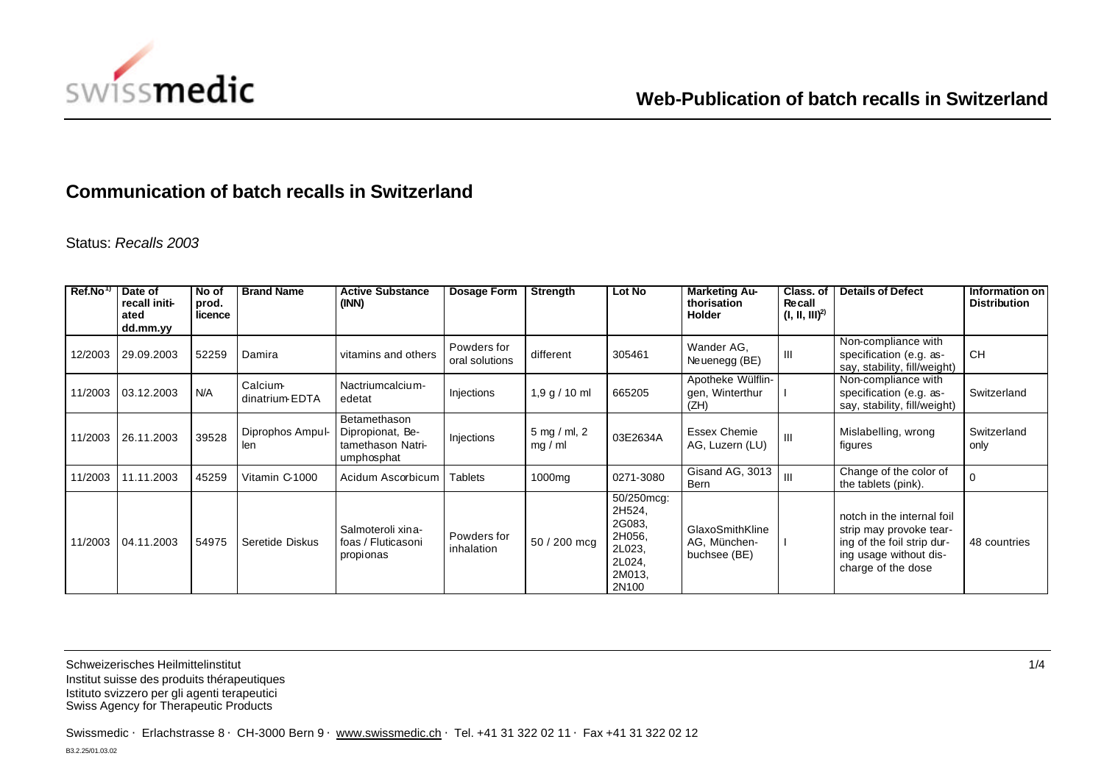

## **Communication of batch recalls in Switzerland**

Status: *Recalls 2003*

| Ref.No <sup>1</sup> | Date of<br>recall initi-<br>ated<br>dd.mm.yy | No of<br>prod.<br>licence | <b>Brand Name</b>         | <b>Active Substance</b><br>(INN)                                    | Dosage Form                   | Strength                | Lot No                                                                          | <b>Marketing Au-</b><br>thorisation<br><b>Holder</b> | Class, of<br><b>Recall</b><br>$(I, II, III)^{2}$ | <b>Details of Defect</b>                                                                                                            | Information on<br><b>Distribution</b> |
|---------------------|----------------------------------------------|---------------------------|---------------------------|---------------------------------------------------------------------|-------------------------------|-------------------------|---------------------------------------------------------------------------------|------------------------------------------------------|--------------------------------------------------|-------------------------------------------------------------------------------------------------------------------------------------|---------------------------------------|
| 12/2003             | 29.09.2003                                   | 52259                     | Damira                    | vitamins and others                                                 | Powders for<br>oral solutions | different               | 305461                                                                          | Wander AG,<br>Neuenegg (BE)                          | Ш                                                | Non-compliance with<br>specification (e.g. as-<br>say, stability, fill/weight)                                                      | CH.                                   |
| 11/2003             | 03.12.2003                                   | N/A                       | Calcium<br>dinatrium EDTA | Nactriumcalcium-<br>edetat                                          | Injections                    | 1,9 g / 10 ml           | 665205                                                                          | Apotheke Wülflin-<br>gen, Winterthur<br>(ZH)         |                                                  | Non-compliance with<br>specification (e.g. as-<br>say, stability, fill/weight)                                                      | Switzerland                           |
| 11/2003             | 26.11.2003                                   | 39528                     | Diprophos Ampul-<br>len   | Betamethason<br>Dipropionat, Be-<br>tamethason Natri-<br>umphosphat | Injections                    | 5 mg / ml, 2<br>mg / ml | 03E2634A                                                                        | <b>Essex Chemie</b><br>AG, Luzern (LU)               | III                                              | Mislabelling, wrong<br>figures                                                                                                      | Switzerland<br>only                   |
| 11/2003             | 11.11.2003                                   | 45259                     | Vitamin C-1000            | Acidum Ascorbicum                                                   | <b>Tablets</b>                | 1000mg                  | 0271-3080                                                                       | Gisand AG, 3013<br>Bern                              | III                                              | Change of the color of<br>the tablets (pink).                                                                                       |                                       |
| 11/2003             | 04.11.2003                                   | 54975                     | Seretide Diskus           | Salmoteroli xina-<br>foas / Fluticasoni<br>propionas                | Powders for<br>inhalation     | 50 / 200 mcg            | 50/250mcg:<br>2H524,<br>2G083,<br>2H056,<br>2L023,<br>2L024,<br>2M013,<br>2N100 | GlaxoSmithKline<br>AG, München-<br>buchsee (BE)      |                                                  | notch in the internal foil<br>strip may provoke tear-<br>ing of the foil strip dur-<br>ing usage without dis-<br>charge of the dose | 48 countries                          |

Schweizerisches Heilmittelinstitut 1/4 Institut suisse des produits thérapeutiques Istituto svizzero per gli agenti terapeutici Swiss Agency for Therapeutic Products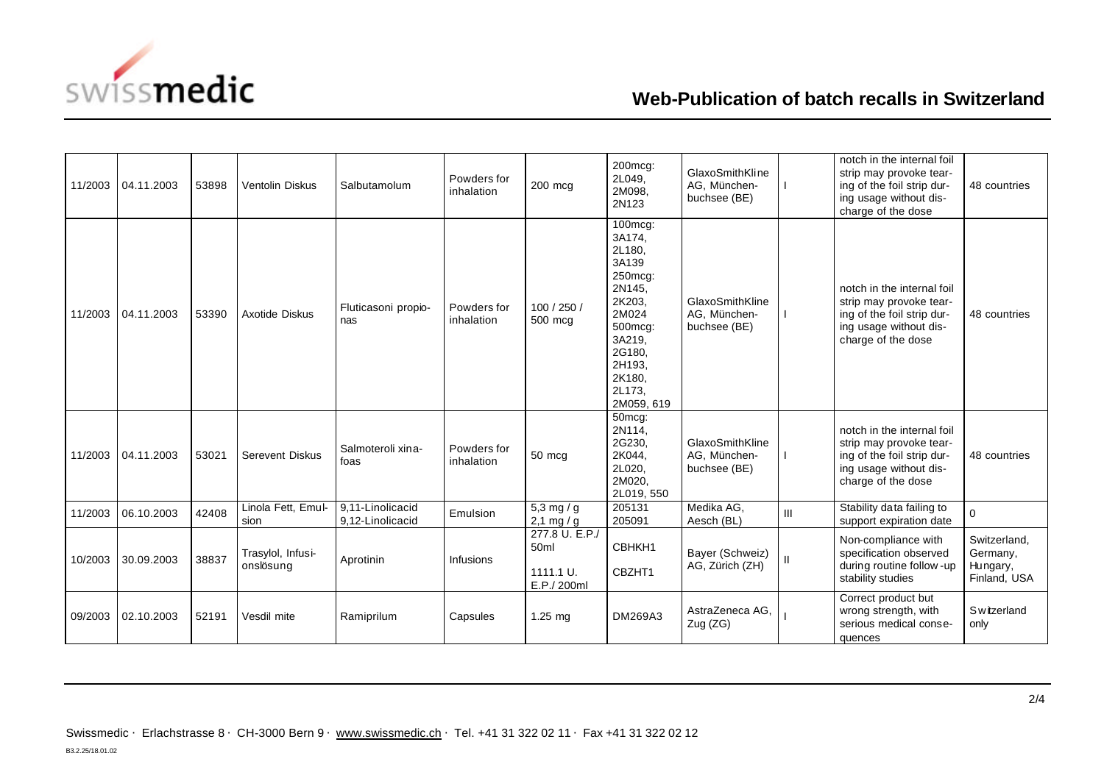

## **Web-Publication of batch recalls in Switzerland**

| 11/2003 | 04.11.2003 | 53898 | Ventolin Diskus                | Salbutamolum                         | Powders for<br>inhalation | 200 mcg                                            | 200mcg:<br>2L049,<br>2M098,<br>2N123                                                                                                                    | GlaxoSmithKline<br>AG. München-<br>buchsee (BE) |   | notch in the internal foil<br>strip may provoke tear-<br>ing of the foil strip dur-<br>ing usage without dis-<br>charge of the dose | 48 countries                                         |
|---------|------------|-------|--------------------------------|--------------------------------------|---------------------------|----------------------------------------------------|---------------------------------------------------------------------------------------------------------------------------------------------------------|-------------------------------------------------|---|-------------------------------------------------------------------------------------------------------------------------------------|------------------------------------------------------|
| 11/2003 | 04.11.2003 | 53390 | Axotide Diskus                 | Fluticasoni propio-<br>nas           | Powders for<br>inhalation | 100 / 250 /<br>500 mcg                             | 100mcg:<br>3A174,<br>2L180,<br>3A139<br>250mcg:<br>2N145,<br>2K203,<br>2M024<br>500mcg:<br>3A219,<br>2G180,<br>2H193,<br>2K180,<br>2L173.<br>2M059, 619 | GlaxoSmithKline<br>AG, München-<br>buchsee (BE) |   | notch in the internal foil<br>strip may provoke tear-<br>ing of the foil strip dur-<br>ing usage without dis-<br>charge of the dose | 48 countries                                         |
| 11/2003 | 04.11.2003 | 53021 | <b>Serevent Diskus</b>         | Salmoteroli xina-<br>foas            | Powders for<br>inhalation | 50 mcg                                             | 50mcg:<br>2N114,<br>2G230,<br>2K044,<br>2L020,<br>2M020,<br>2L019, 550                                                                                  | GlaxoSmithKline<br>AG, München-<br>buchsee (BE) |   | notch in the internal foil<br>strip may provoke tear-<br>ing of the foil strip dur-<br>ing usage without dis-<br>charge of the dose | 48 countries                                         |
| 11/2003 | 06.10.2003 | 42408 | Linola Fett, Emul-<br>sion     | 9,11-Linolicacid<br>9,12-Linolicacid | Emulsion                  | 5,3 mg / g<br>2,1 mg / g                           | 205131<br>205091                                                                                                                                        | Medika AG,<br>Aesch (BL)                        | Ш | Stability data failing to<br>support expiration date                                                                                | $\Omega$                                             |
| 10/2003 | 30.09.2003 | 38837 | Trasylol, Infusi-<br>onslösung | Aprotinin                            | Infusions                 | 277.8 U. E.P./<br>50ml<br>1111.1 U.<br>E.P./ 200ml | CBHKH1<br>CBZHT1                                                                                                                                        | Bayer (Schweiz)<br>AG, Zürich (ZH)              |   | Non-compliance with<br>specification observed<br>during routine follow-up<br>stability studies                                      | Switzerland,<br>Germany,<br>Hungary,<br>Finland, USA |
| 09/2003 | 02.10.2003 | 52191 | Vesdil mite                    | Ramiprilum                           | Capsules                  | $1.25$ mg                                          | DM269A3                                                                                                                                                 | AstraZeneca AG,<br>Zug (ZG)                     |   | Correct product but<br>wrong strength, with<br>serious medical conse-<br>quences                                                    | <b>Switzerland</b><br>only                           |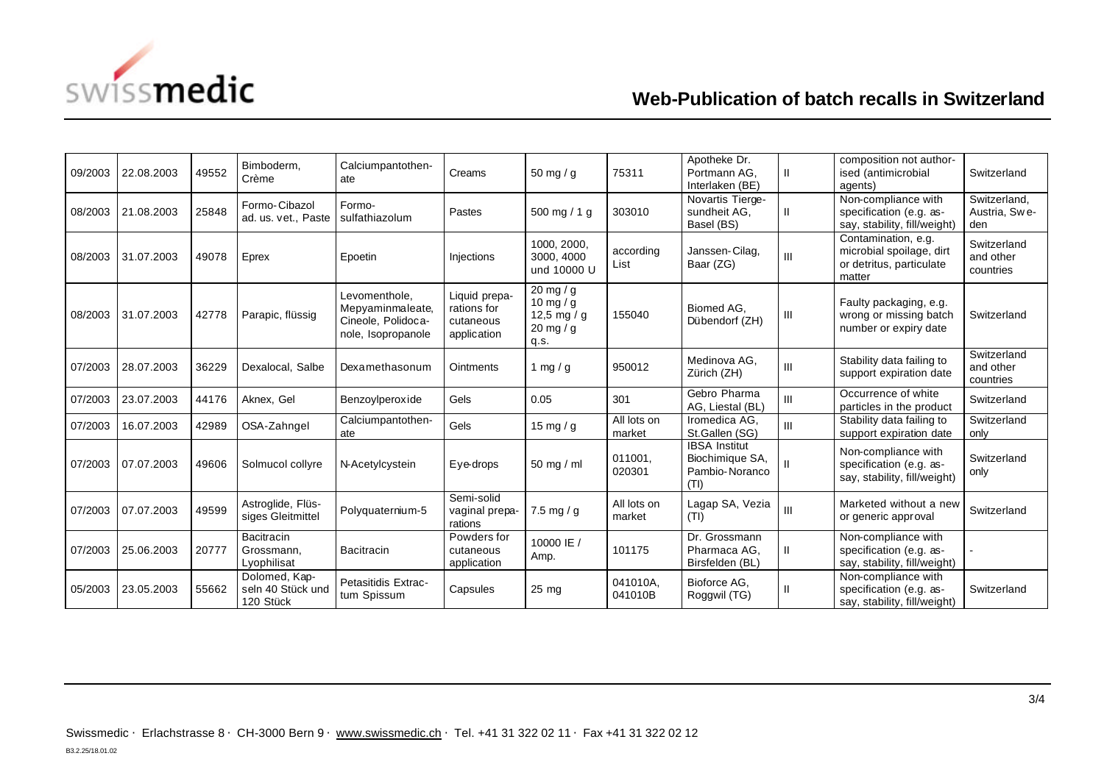

## **Web-Publication of batch recalls in Switzerland**

| 09/2003 | 22.08.2003 | 49552 | Bimboderm.<br>Crème                             | Calciumpantothen-<br>ate                                                      | Creams                                                   | 50 mg / g                                                  | 75311                 | Apotheke Dr.<br>Portmann AG,<br>Interlaken (BE)                   | $\mathbf{H}$ | composition not author-<br>ised (antimicrobial<br>agents)                             | Switzerland                           |
|---------|------------|-------|-------------------------------------------------|-------------------------------------------------------------------------------|----------------------------------------------------------|------------------------------------------------------------|-----------------------|-------------------------------------------------------------------|--------------|---------------------------------------------------------------------------------------|---------------------------------------|
| 08/2003 | 21.08.2003 | 25848 | Formo-Cibazol<br>ad. us. vet., Paste            | Formo-<br>sulfathiazolum                                                      | Pastes                                                   | 500 mg / 1 g                                               | 303010                | Novartis Tierge-<br>sundheit AG,<br>Basel (BS)                    | Ш.           | Non-compliance with<br>specification (e.g. as-<br>say, stability, fill/weight)        | Switzerland.<br>Austria, Swe-<br>den  |
| 08/2003 | 31.07.2003 | 49078 | Eprex                                           | Epoetin                                                                       | Injections                                               | 1000, 2000,<br>3000, 4000<br>und 10000 U                   | according<br>List     | Janssen-Cilag,<br>Baar (ZG)                                       | Ш            | Contamination, e.g.<br>microbial spoilage, dirt<br>or detritus, particulate<br>matter | Switzerland<br>and other<br>countries |
| 08/2003 | 31.07.2003 | 42778 | Parapic, flüssig                                | Levomenthole.<br>Mepyaminmaleate,<br>Cineole, Polidoca-<br>nole, Isopropanole | Liquid prepa-<br>rations for<br>cutaneous<br>application | 20 mg / g<br>10 mg / g<br>12,5 mg / g<br>20 mg / g<br>q.s. | 155040                | Biomed AG.<br>Dübendorf (ZH)                                      | Ш            | Faulty packaging, e.g.<br>wrong or missing batch<br>number or expiry date             | Switzerland                           |
| 07/2003 | 28.07.2003 | 36229 | Dexalocal, Salbe                                | Dexamethasonum                                                                | <b>Ointments</b>                                         | 1 mg / g                                                   | 950012                | Medinova AG,<br>Zürich (ZH)                                       | Ш            | Stability data failing to<br>support expiration date                                  | Switzerland<br>and other<br>countries |
| 07/2003 | 23.07.2003 | 44176 | Aknex, Gel                                      | Benzoylperoxide                                                               | Gels                                                     | 0.05                                                       | 301                   | Gebro Pharma<br>AG, Liestal (BL)                                  | Ш            | Occurrence of white<br>particles in the product                                       | Switzerland                           |
| 07/2003 | 16.07.2003 | 42989 | OSA-Zahngel                                     | Calciumpantothen-<br>ate                                                      | Gels                                                     | 15 mg / g                                                  | All lots on<br>market | Iromedica AG.<br>St.Gallen (SG)                                   | III          | Stability data failing to<br>support expiration date                                  | Switzerland<br>only                   |
| 07/2003 | 07.07.2003 | 49606 | Solmucol collyre                                | N-Acetylcystein                                                               | Eve-drops                                                | 50 mg / ml                                                 | 011001.<br>020301     | <b>IBSA</b> Institut<br>Biochimique SA,<br>Pambio-Noranco<br>(TI) | Ш            | Non-compliance with<br>specification (e.g. as-<br>say, stability, fill/weight)        | Switzerland<br>only                   |
| 07/2003 | 07.07.2003 | 49599 | Astroglide, Flüs-<br>siges Gleitmittel          | Polyquaternium-5                                                              | Semi-solid<br>vaginal prepa-<br>rations                  | $7.5$ mg / g                                               | All lots on<br>market | Lagap SA, Vezia<br>(TI)                                           | III          | Marketed without a new<br>or generic approval                                         | Switzerland                           |
| 07/2003 | 25.06.2003 | 20777 | Bacitracin<br>Grossmann,<br>Lyophilisat         | <b>Bacitracin</b>                                                             | Powders for<br>cutaneous<br>application                  | 10000 IE /<br>Amp.                                         | 101175                | Dr. Grossmann<br>Pharmaca AG,<br>Birsfelden (BL)                  | Ш.           | Non-compliance with<br>specification (e.g. as-<br>say, stability, fill/weight)        |                                       |
| 05/2003 | 23.05.2003 | 55662 | Dolomed, Kap-<br>seln 40 Stück und<br>120 Stück | Petasitidis Extrac-<br>tum Spissum                                            | Capsules                                                 | $25 \text{ mg}$                                            | 041010A.<br>041010B   | Bioforce AG.<br>Roggwil (TG)                                      | Ш            | Non-compliance with<br>specification (e.g. as-<br>say, stability, fill/weight)        | Switzerland                           |